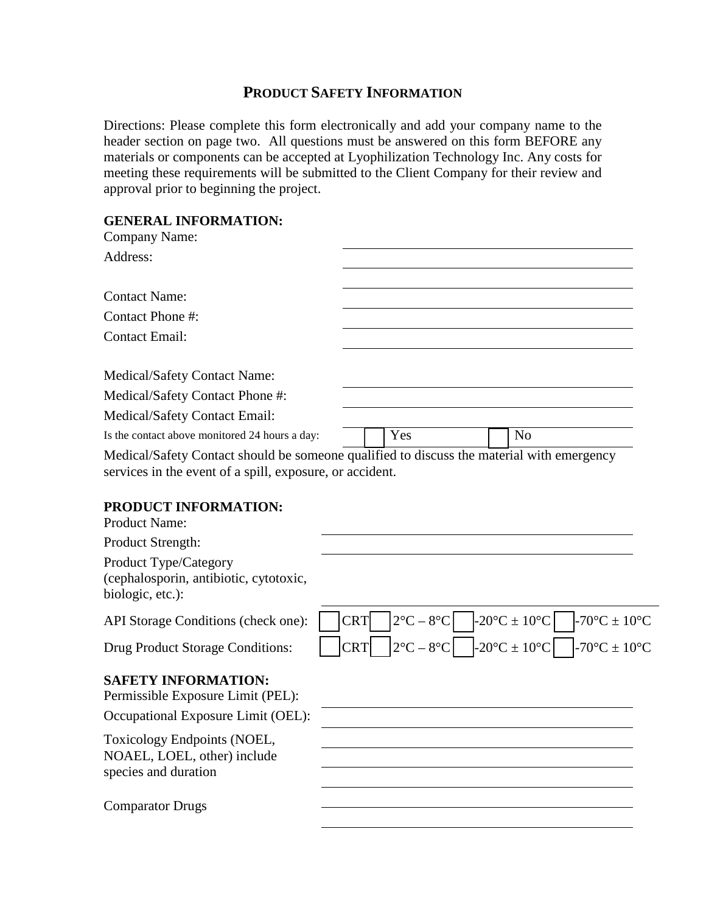### **PRODUCT SAFETY INFORMATION**

Directions: Please complete this form electronically and add your company name to the header section on page two. All questions must be answered on this form BEFORE any materials or components can be accepted at Lyophilization Technology Inc. Any costs for meeting these requirements will be submitted to the Client Company for their review and approval prior to beginning the project.

# **GENERAL INFORMATION:**

| GENEKAL INFUKNIA HUN:<br><b>Company Name:</b>                                                                                                         |            |                               |                                |                                                |
|-------------------------------------------------------------------------------------------------------------------------------------------------------|------------|-------------------------------|--------------------------------|------------------------------------------------|
| Address:                                                                                                                                              |            |                               |                                |                                                |
| <b>Contact Name:</b>                                                                                                                                  |            |                               |                                |                                                |
| Contact Phone #:                                                                                                                                      |            |                               |                                |                                                |
| <b>Contact Email:</b>                                                                                                                                 |            |                               |                                |                                                |
| Medical/Safety Contact Name:                                                                                                                          |            |                               |                                |                                                |
| Medical/Safety Contact Phone #:                                                                                                                       |            |                               |                                |                                                |
| Medical/Safety Contact Email:                                                                                                                         |            |                               |                                |                                                |
| Is the contact above monitored 24 hours a day:                                                                                                        |            | Yes                           | N <sub>o</sub>                 |                                                |
| Medical/Safety Contact should be someone qualified to discuss the material with emergency<br>services in the event of a spill, exposure, or accident. |            |                               |                                |                                                |
| PRODUCT INFORMATION:<br><b>Product Name:</b>                                                                                                          |            |                               |                                |                                                |
| Product Strength:                                                                                                                                     |            |                               |                                |                                                |
| Product Type/Category<br>(cephalosporin, antibiotic, cytotoxic,<br>biologic, etc.):                                                                   |            |                               |                                |                                                |
| API Storage Conditions (check one):                                                                                                                   | <b>CRT</b> | $2^{\circ}C - 8^{\circ}C$     | $-20^{\circ}C \pm 10^{\circ}C$ | -70 $\rm{^{\circ}C}$ $\pm$ 10 $\rm{^{\circ}C}$ |
| Drug Product Storage Conditions:                                                                                                                      | <b>CRT</b> | $2^{\circ}$ C – $8^{\circ}$ C | $-20^{\circ}C \pm 10^{\circ}C$ | -70 $^{\circ}$ C ± 10 $^{\circ}$ C             |
| <b>SAFETY INFORMATION:</b><br>Permissible Exposure Limit (PEL):                                                                                       |            |                               |                                |                                                |
| Occupational Exposure Limit (OEL):                                                                                                                    |            |                               |                                |                                                |
| Toxicology Endpoints (NOEL,<br>NOAEL, LOEL, other) include<br>species and duration                                                                    |            |                               |                                |                                                |
| <b>Comparator Drugs</b>                                                                                                                               |            |                               |                                |                                                |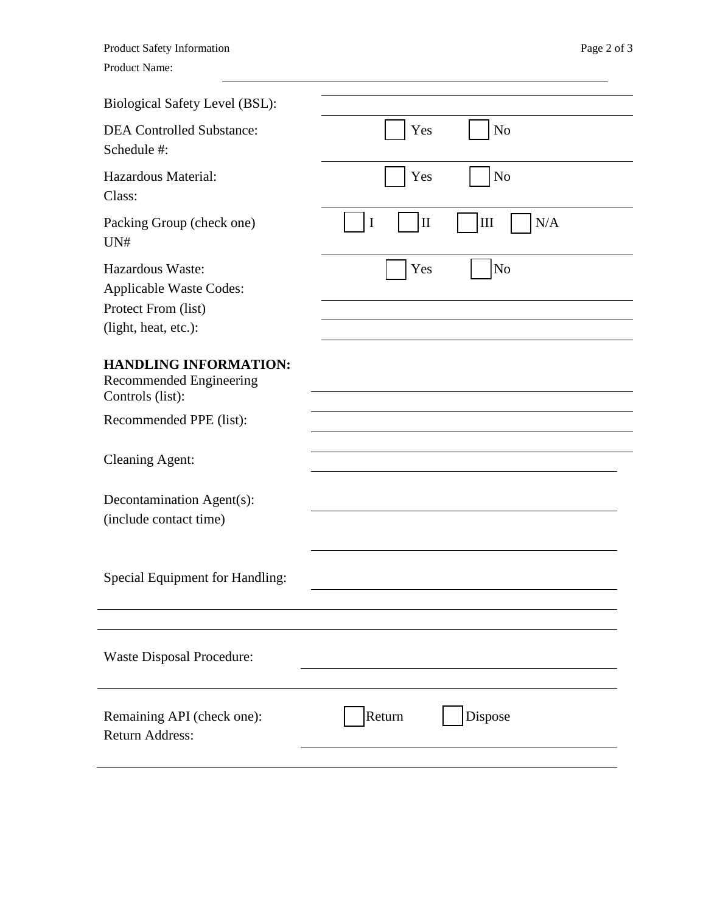| <b>Product Safety Information</b> |
|-----------------------------------|
| Product Name:                     |

| Yes<br>N <sub>o</sub>           |
|---------------------------------|
| Yes<br>N <sub>o</sub>           |
| $\mathbf{I}$<br>N/A<br>III<br>I |
| N <sub>o</sub><br>Yes           |
|                                 |
|                                 |
|                                 |
|                                 |
|                                 |
|                                 |
|                                 |
| Dispose<br>Return               |
|                                 |